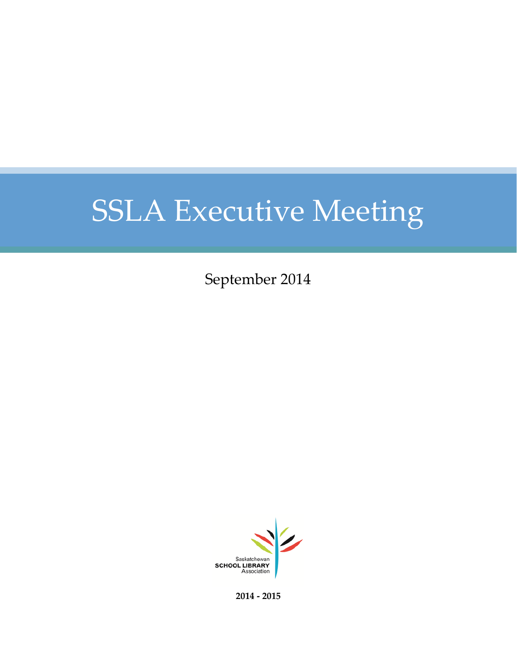September 2014



**2014 - 2015**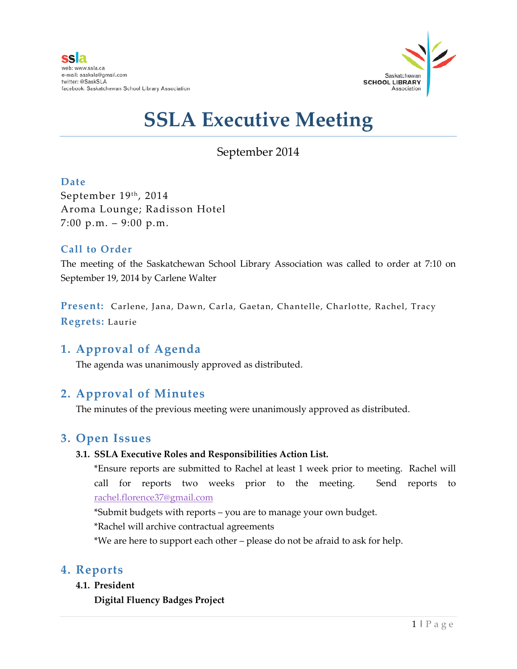

### September 2014

### **Date**

September 19th, 2014 Aroma Lounge; Radisson Hotel 7:00 p.m.  $-9:00$  p.m.

### **Call to Order**

The meeting of the Saskatchewan School Library Association was called to order at 7:10 on September 19, 2014 by Carlene Walter

**Present:** Carlene, Jana, Dawn, Carla, Gaetan, Chantelle, Charlotte, Rachel, Tracy **Regrets:** Laurie

### **1. Approval of Agenda**

The agenda was unanimously approved as distributed.

### **2. Approval of Minutes**

The minutes of the previous meeting were unanimously approved as distributed.

### **3. Open Issues**

### **3.1. SSLA Executive Roles and Responsibilities Action List.**

\*Ensure reports are submitted to Rachel at least 1 week prior to meeting. Rachel will call for reports two weeks prior to the meeting. Send reports to [rachel.florence37@gmail.com](mailto:rachel.florence37@gmail.com)

\*Submit budgets with reports – you are to manage your own budget.

\*Rachel will archive contractual agreements

\*We are here to support each other – please do not be afraid to ask for help.

### **4. Reports**

**4.1. President**

**Digital Fluency Badges Project**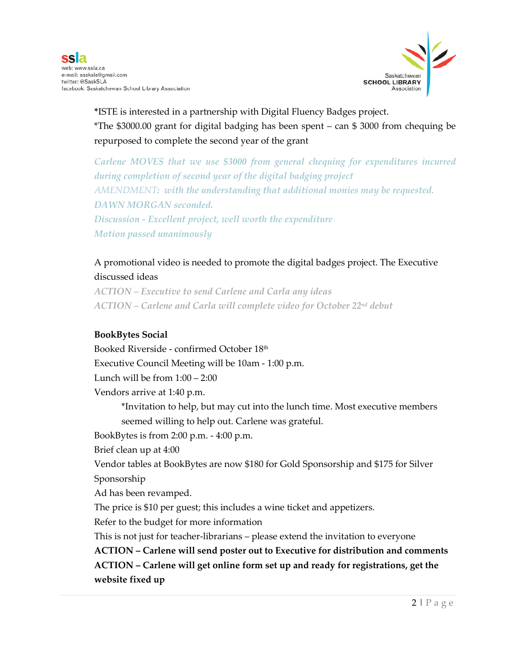

**\***ISTE is interested in a partnership with Digital Fluency Badges project. \*The \$3000.00 grant for digital badging has been spent – can \$ 3000 from chequing be repurposed to complete the second year of the grant

*Carlene MOVES that we use \$3000 from general chequing for expenditures incurred during completion of second year of the digital badging project AMENDMENT: with the understanding that additional monies may be requested. DAWN MORGAN seconded. Discussion - Excellent project, well worth the expenditure Motion passed unanimously*

### A promotional video is needed to promote the digital badges project. The Executive discussed ideas

*ACTION – Executive to send Carlene and Carla any ideas ACTION – Carlene and Carla will complete video for October 22nd debut*

### **BookBytes Social**

Booked Riverside - confirmed October 18th Executive Council Meeting will be 10am - 1:00 p.m. Lunch will be from  $1:00 - 2:00$ Vendors arrive at 1:40 p.m. \*Invitation to help, but may cut into the lunch time. Most executive members seemed willing to help out. Carlene was grateful. BookBytes is from 2:00 p.m. - 4:00 p.m. Brief clean up at 4:00 Vendor tables at BookBytes are now \$180 for Gold Sponsorship and \$175 for Silver Sponsorship Ad has been revamped. The price is \$10 per guest; this includes a wine ticket and appetizers. Refer to the budget for more information This is not just for teacher-librarians – please extend the invitation to everyone **ACTION – Carlene will send poster out to Executive for distribution and comments ACTION – Carlene will get online form set up and ready for registrations, get the website fixed up**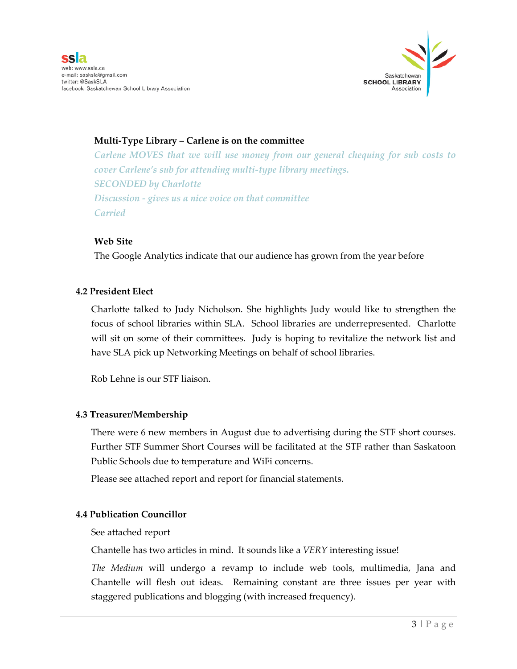

### **Multi-Type Library – Carlene is on the committee**

*Carlene MOVES that we will use money from our general chequing for sub costs to cover Carlene's sub for attending multi-type library meetings. SECONDED by Charlotte Discussion - gives us a nice voice on that committee Carried*

#### **Web Site**

The Google Analytics indicate that our audience has grown from the year before

#### **4.2 President Elect**

Charlotte talked to Judy Nicholson. She highlights Judy would like to strengthen the focus of school libraries within SLA. School libraries are underrepresented. Charlotte will sit on some of their committees. Judy is hoping to revitalize the network list and have SLA pick up Networking Meetings on behalf of school libraries.

Rob Lehne is our STF liaison.

#### **4.3 Treasurer/Membership**

There were 6 new members in August due to advertising during the STF short courses. Further STF Summer Short Courses will be facilitated at the STF rather than Saskatoon Public Schools due to temperature and WiFi concerns.

Please see attached report and report for financial statements.

### **4.4 Publication Councillor**

See attached report

Chantelle has two articles in mind. It sounds like a *VERY* interesting issue!

*The Medium* will undergo a revamp to include web tools, multimedia, Jana and Chantelle will flesh out ideas. Remaining constant are three issues per year with staggered publications and blogging (with increased frequency).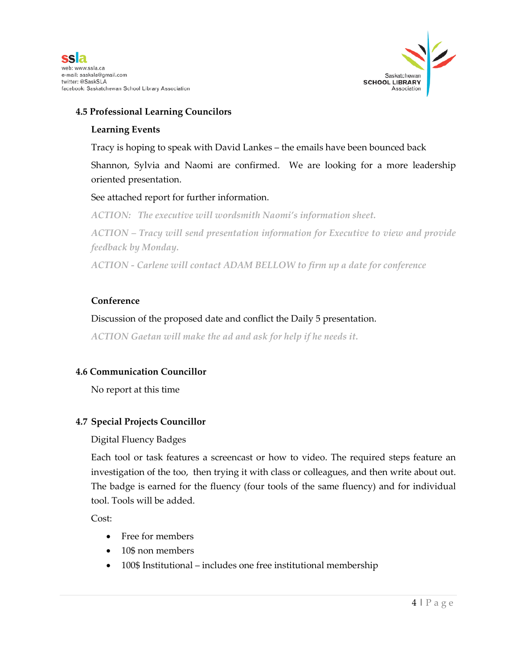

### **4.5 Professional Learning Councilors**

#### **Learning Events**

Tracy is hoping to speak with David Lankes – the emails have been bounced back

Shannon, Sylvia and Naomi are confirmed. We are looking for a more leadership oriented presentation.

### See attached report for further information.

*ACTION: The executive will wordsmith Naomi's information sheet.* 

*ACTION – Tracy will send presentation information for Executive to view and provide feedback by Monday.* 

*ACTION - Carlene will contact ADAM BELLOW to firm up a date for conference*

### **Conference**

### Discussion of the proposed date and conflict the Daily 5 presentation.

*ACTION Gaetan will make the ad and ask for help if he needs it.*

### **4.6 Communication Councillor**

No report at this time

### **4.7 Special Projects Councillor**

### Digital Fluency Badges

Each tool or task features a screencast or how to video. The required steps feature an investigation of the too, then trying it with class or colleagues, and then write about out. The badge is earned for the fluency (four tools of the same fluency) and for individual tool. Tools will be added.

Cost:

- Free for members
- 10\$ non members
- 100\$ Institutional includes one free institutional membership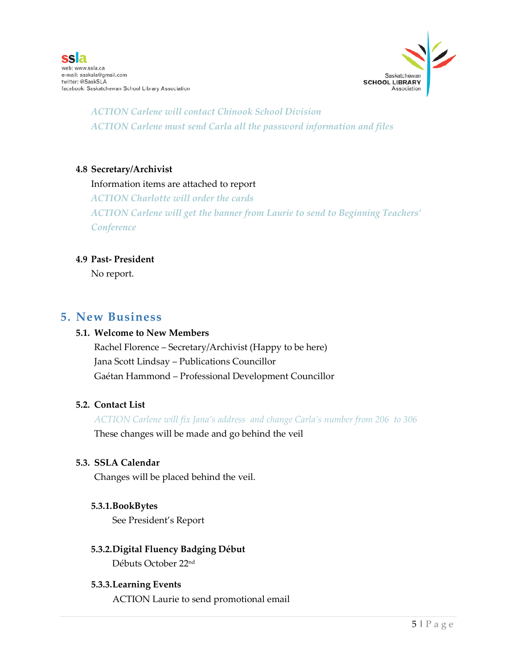

*ACTION Carlene will contact Chinook School Division ACTION Carlene must send Carla all the password information and files*

#### **4.8 Secretary/Archivist**

#### Information items are attached to report

*ACTION Charlotte will order the cards ACTION Carlene will get the banner from Laurie to send to Beginning Teachers' Conference*

#### **4.9 Past- President**

No report.

### **5. New Business**

#### **5.1. Welcome to New Members**

Rachel Florence – Secretary/Archivist (Happy to be here) Jana Scott Lindsay – Publications Councillor Gaétan Hammond – Professional Development Councillor

#### **5.2. Contact List**

*ACTION Carlene will fix Jana's address and change Carla's number from 206 to 306*

These changes will be made and go behind the veil

#### **5.3. SSLA Calendar**

Changes will be placed behind the veil.

#### **5.3.1.BookBytes**

See President's Report

#### **5.3.2.Digital Fluency Badging Début** Débuts October 22nd

#### **5.3.3.Learning Events**

ACTION Laurie to send promotional email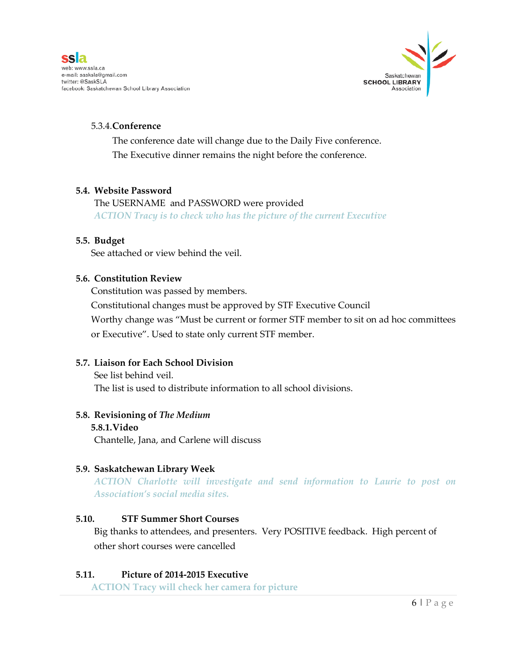

#### 5.3.4.**Conference**

The conference date will change due to the Daily Five conference. The Executive dinner remains the night before the conference.

### **5.4. Website Password**

The USERNAME and PASSWORD were provided *ACTION Tracy is to check who has the picture of the current Executive*

#### **5.5. Budget**

See attached or view behind the veil.

#### **5.6. Constitution Review**

Constitution was passed by members.

Constitutional changes must be approved by STF Executive Council

Worthy change was "Must be current or former STF member to sit on ad hoc committees or Executive". Used to state only current STF member.

### **5.7. Liaison for Each School Division**

See list behind veil. The list is used to distribute information to all school divisions.

### **5.8. Revisioning of** *The Medium*

**5.8.1.Video** Chantelle, Jana, and Carlene will discuss

### **5.9. Saskatchewan Library Week**

*ACTION Charlotte will investigate and send information to Laurie to post on Association's social media sites.*

### **5.10. STF Summer Short Courses**

Big thanks to attendees, and presenters. Very POSITIVE feedback. High percent of other short courses were cancelled

#### **5.11. Picture of 2014-2015 Executive**

**ACTION Tracy will check her camera for picture**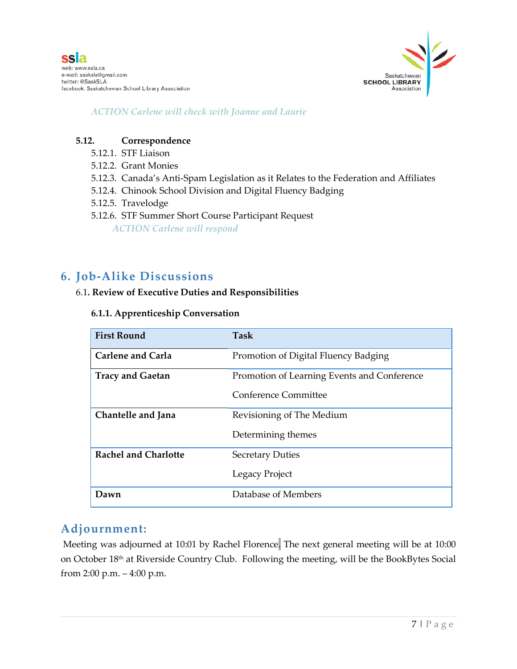

*ACTION Carlene will check with Joanne and Laurie*

#### **5.12. Correspondence**

- 5.12.1. STF Liaison
- 5.12.2. Grant Monies
- 5.12.3. Canada's Anti-Spam Legislation as it Relates to the Federation and Affiliates
- 5.12.4. Chinook School Division and Digital Fluency Badging
- 5.12.5. Travelodge
- 5.12.6. STF Summer Short Course Participant Request *ACTION Carlene will respond*

### **6. Job-Alike Discussions**

#### 6.1**. Review of Executive Duties and Responsibilities**

#### **6.1.1. Apprenticeship Conversation**

| <b>First Round</b>          | Task                                        |
|-----------------------------|---------------------------------------------|
| <b>Carlene and Carla</b>    | Promotion of Digital Fluency Badging        |
| <b>Tracy and Gaetan</b>     | Promotion of Learning Events and Conference |
|                             | Conference Committee                        |
| Chantelle and Jana          | Revisioning of The Medium                   |
|                             | Determining themes                          |
| <b>Rachel and Charlotte</b> | <b>Secretary Duties</b>                     |
|                             | Legacy Project                              |
| Dawn                        | Database of Members                         |

### **Adjournment:**

Meeting was adjourned at 10:01 by Rachel Florence. The next general meeting will be at 10:00 on October 18<sup>th</sup> at Riverside Country Club. Following the meeting, will be the BookBytes Social from 2:00 p.m. – 4:00 p.m.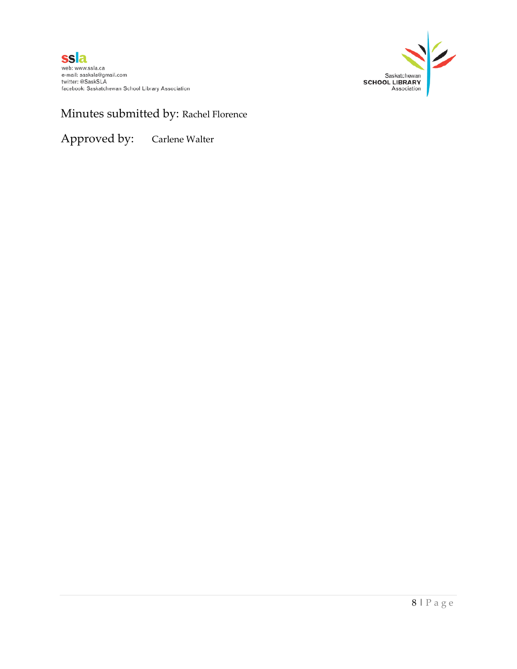

## Minutes submitted by: Rachel Florence

Approved by: Carlene Walter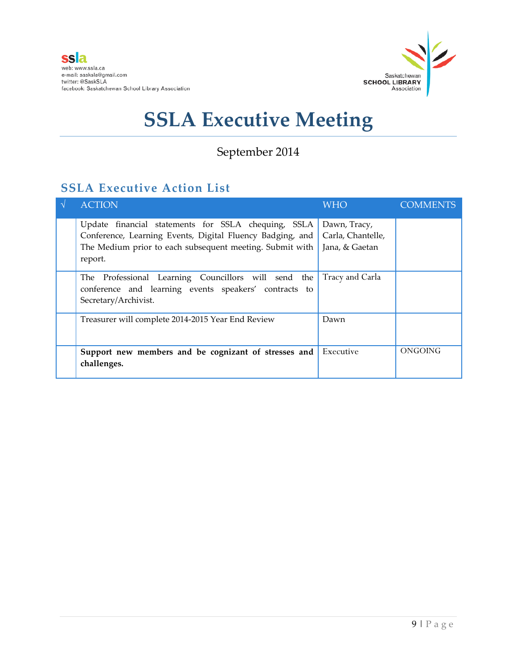

## September 2014

## **SSLA Executive Action List**

| $\Delta$ | <b>ACTION</b>                                                                                                                                                                           | WHO <b>W</b>                                        | <b>COMMENTS</b> |
|----------|-----------------------------------------------------------------------------------------------------------------------------------------------------------------------------------------|-----------------------------------------------------|-----------------|
|          | Update financial statements for SSLA chequing, SSLA<br>Conference, Learning Events, Digital Fluency Badging, and<br>The Medium prior to each subsequent meeting. Submit with<br>report. | Dawn, Tracy,<br>Carla, Chantelle,<br>Jana, & Gaetan |                 |
|          | The Professional Learning Councillors will send the<br>conference and learning events speakers' contracts to<br>Secretary/Archivist.                                                    | Tracy and Carla                                     |                 |
|          | Treasurer will complete 2014-2015 Year End Review                                                                                                                                       | Dawn                                                |                 |
|          | Support new members and be cognizant of stresses and<br>challenges.                                                                                                                     | Executive                                           | ONGOING         |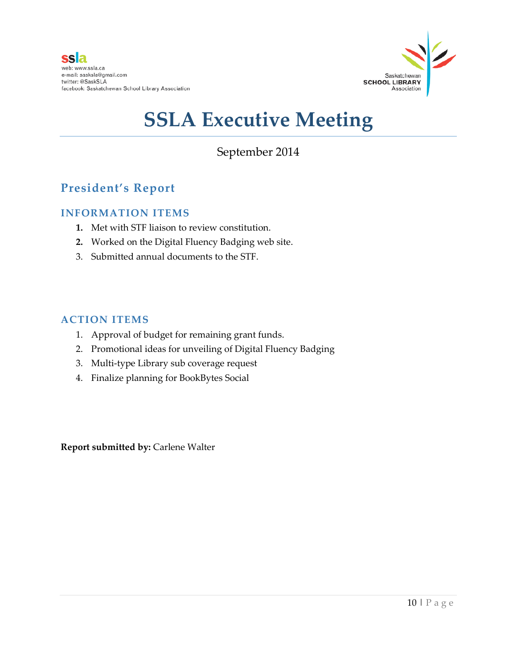

### September 2014

## **President's Report**

### **INFORMATION ITEMS**

- **1.** Met with STF liaison to review constitution.
- **2.** Worked on the Digital Fluency Badging web site.
- 3. Submitted annual documents to the STF.

### **ACTION ITEMS**

- 1. Approval of budget for remaining grant funds.
- 2. Promotional ideas for unveiling of Digital Fluency Badging
- 3. Multi-type Library sub coverage request
- 4. Finalize planning for BookBytes Social

**Report submitted by:** Carlene Walter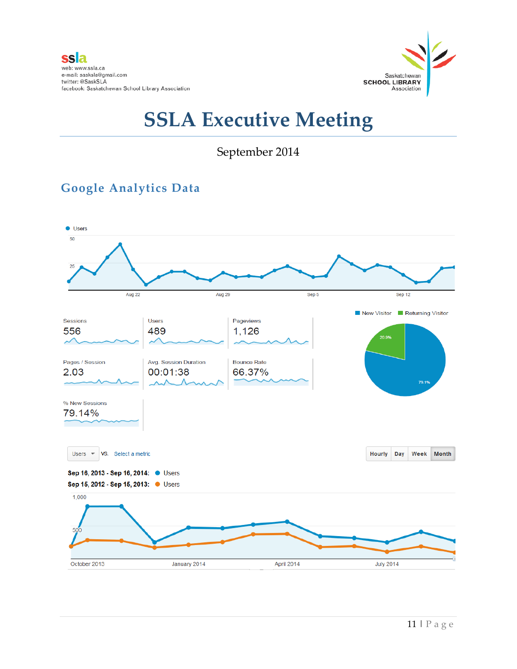

September 2014

## **Google Analytics Data**

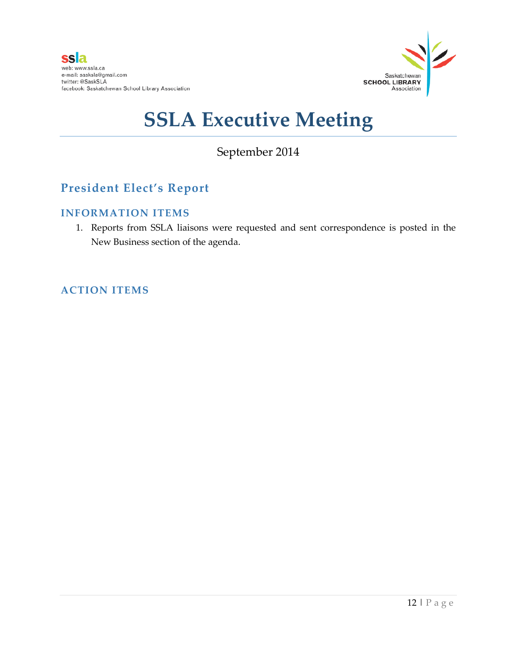

## September 2014

## **President Elect's Report**

### **INFORMATION ITEMS**

1. Reports from SSLA liaisons were requested and sent correspondence is posted in the New Business section of the agenda.

### **ACTION ITEMS**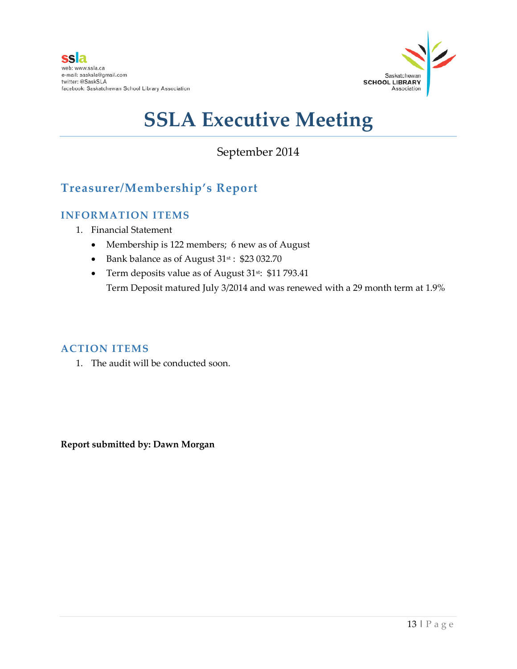

### September 2014

## **Treasurer/Membership's Report**

### **INFORMATION ITEMS**

- 1. Financial Statement
	- Membership is 122 members; 6 new as of August
	- Bank balance as of August 31st : \$23 032.70
	- Term deposits value as of August 31<sup>st</sup>: \$11 793.41 Term Deposit matured July 3/2014 and was renewed with a 29 month term at 1.9%

### **ACTION ITEMS**

1. The audit will be conducted soon.

**Report submitted by: Dawn Morgan**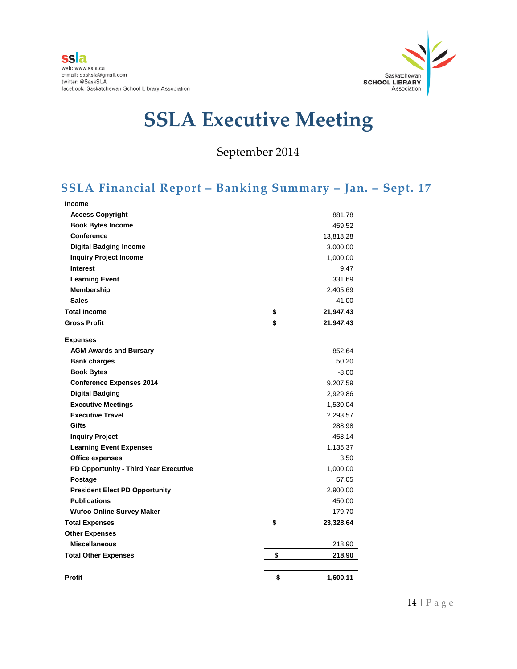

September 2014

## **SSLA Financial Report – Banking Summary – Jan. – Sept. 17**

| <b>Income</b>                         |     |           |
|---------------------------------------|-----|-----------|
| <b>Access Copyright</b>               |     | 881.78    |
| <b>Book Bytes Income</b>              |     | 459.52    |
| <b>Conference</b>                     |     | 13,818.28 |
| <b>Digital Badging Income</b>         |     | 3,000.00  |
| <b>Inquiry Project Income</b>         |     | 1,000.00  |
| <b>Interest</b>                       |     | 9.47      |
| <b>Learning Event</b>                 |     | 331.69    |
| Membership                            |     | 2,405.69  |
| <b>Sales</b>                          |     | 41.00     |
| <b>Total Income</b>                   | \$  | 21,947.43 |
| <b>Gross Profit</b>                   | \$  | 21,947.43 |
| <b>Expenses</b>                       |     |           |
| <b>AGM Awards and Bursary</b>         |     | 852.64    |
| <b>Bank charges</b>                   |     | 50.20     |
| <b>Book Bytes</b>                     |     | $-8.00$   |
| <b>Conference Expenses 2014</b>       |     | 9,207.59  |
| <b>Digital Badging</b>                |     | 2,929.86  |
| <b>Executive Meetings</b>             |     | 1,530.04  |
| <b>Executive Travel</b>               |     | 2,293.57  |
| Gifts                                 |     | 288.98    |
| <b>Inquiry Project</b>                |     | 458.14    |
| <b>Learning Event Expenses</b>        |     | 1,135.37  |
| Office expenses                       |     | 3.50      |
| PD Opportunity - Third Year Executive |     | 1,000.00  |
| Postage                               |     | 57.05     |
| <b>President Elect PD Opportunity</b> |     | 2,900.00  |
| <b>Publications</b>                   |     | 450.00    |
| <b>Wufoo Online Survey Maker</b>      |     | 179.70    |
| <b>Total Expenses</b>                 | \$  | 23,328.64 |
| <b>Other Expenses</b>                 |     |           |
| <b>Miscellaneous</b>                  |     | 218.90    |
| <b>Total Other Expenses</b>           | \$  | 218.90    |
| <b>Profit</b>                         | -\$ | 1,600.11  |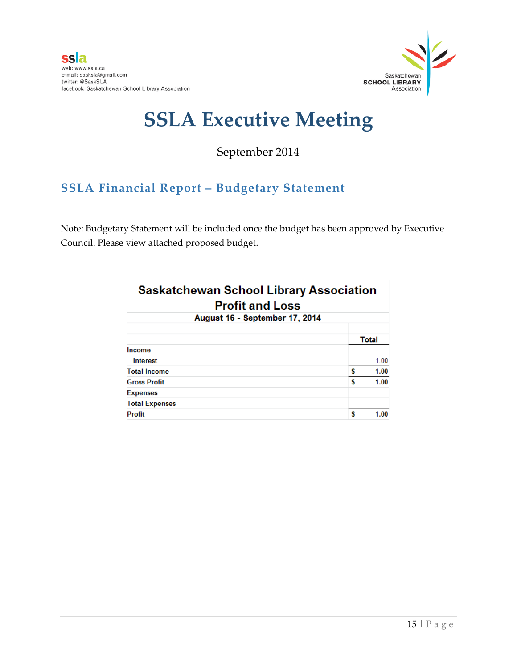

September 2014

## **SSLA Financial Report – Budgetary Statement**

Note: Budgetary Statement will be included once the budget has been approved by Executive Council. Please view attached proposed budget.

| <b>Saskatchewan School Library Association</b> |              |  |  |  |
|------------------------------------------------|--------------|--|--|--|
| <b>Profit and Loss</b>                         |              |  |  |  |
| August 16 - September 17, 2014                 |              |  |  |  |
|                                                | <b>Total</b> |  |  |  |
| Income                                         |              |  |  |  |
| Interest                                       | 1.00         |  |  |  |
| <b>Total Income</b>                            | \$<br>1.00   |  |  |  |
| <b>Gross Profit</b>                            | \$<br>1.00   |  |  |  |
| <b>Expenses</b>                                |              |  |  |  |
| <b>Total Expenses</b>                          |              |  |  |  |
| <b>Profit</b>                                  | 1.00         |  |  |  |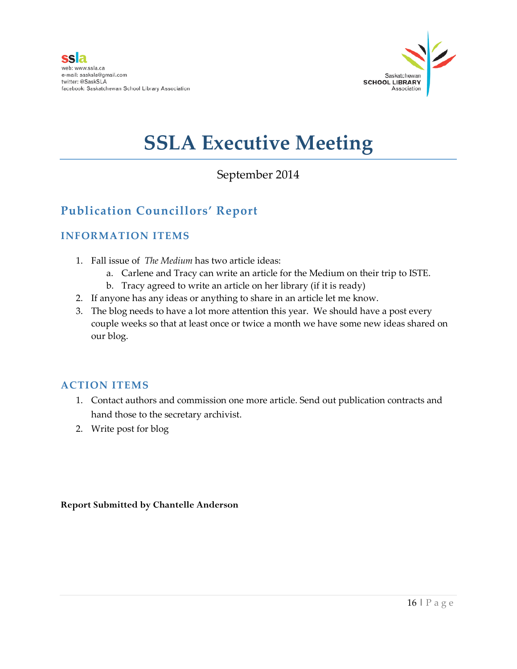

## September 2014

## **Publication Councillors' Report**

### **INFORMATION ITEMS**

- 1. Fall issue of *The Medium* has two article ideas:
	- a. Carlene and Tracy can write an article for the Medium on their trip to ISTE.
	- b. Tracy agreed to write an article on her library (if it is ready)
- 2. If anyone has any ideas or anything to share in an article let me know.
- 3. The blog needs to have a lot more attention this year. We should have a post every couple weeks so that at least once or twice a month we have some new ideas shared on our blog.

### **ACTION ITEMS**

- 1. Contact authors and commission one more article. Send out publication contracts and hand those to the secretary archivist.
- 2. Write post for blog

**Report Submitted by Chantelle Anderson**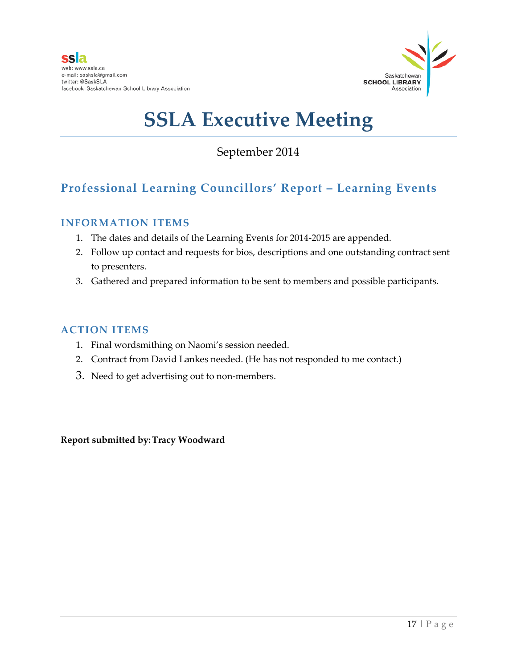

September 2014

## **Professional Learning Councillors' Report – Learning Events**

### **INFORMATION ITEMS**

- 1. The dates and details of the Learning Events for 2014-2015 are appended.
- 2. Follow up contact and requests for bios, descriptions and one outstanding contract sent to presenters.
- 3. Gathered and prepared information to be sent to members and possible participants.

### **ACTION ITEMS**

- 1. Final wordsmithing on Naomi's session needed.
- 2. Contract from David Lankes needed. (He has not responded to me contact.)
- 3. Need to get advertising out to non-members.

**Report submitted by:Tracy Woodward**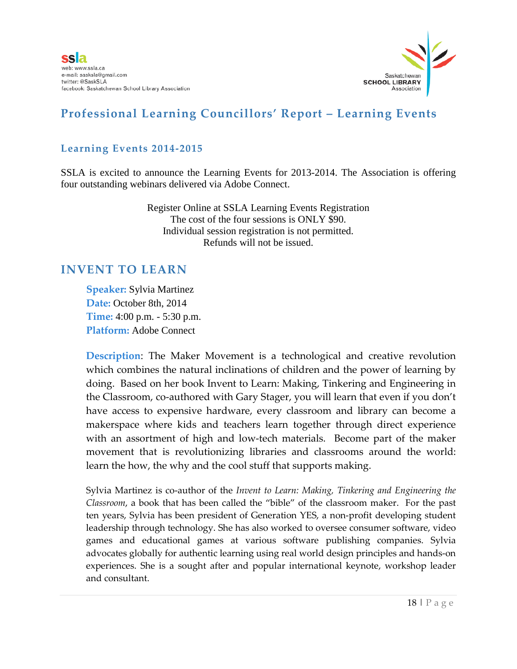

### **Professional Learning Councillors' Report – Learning Events**

### **Learning Events 2014-2015**

SSLA is excited to announce the Learning Events for 2013-2014. The Association is offering four outstanding webinars delivered via Adobe Connect.

> Register Online at SSLA Learning Events Registration The cost of the four sessions is ONLY \$90. Individual session registration is not permitted. Refunds will not be issued.

### **INVENT TO LEARN**

**Speaker:** Sylvia Martinez **Date:** October 8th, 2014 **Time:** 4:00 p.m. - 5:30 p.m. **Platform:** Adobe Connect

**Description**: The Maker Movement is a technological and creative revolution which combines the natural inclinations of children and the power of learning by doing. Based on her book Invent to Learn: Making, Tinkering and Engineering in the Classroom, co-authored with Gary Stager, you will learn that even if you don't have access to expensive hardware, every classroom and library can become a makerspace where kids and teachers learn together through direct experience with an assortment of high and low-tech materials. Become part of the maker movement that is revolutionizing libraries and classrooms around the world: learn the how, the why and the cool stuff that supports making.

Sylvia Martinez is co-author of the *Invent to Learn: Making, Tinkering and Engineering the Classroom*, a book that has been called the "bible" of the classroom maker. For the past ten years, Sylvia has been president of Generation YES, a non-profit developing student leadership through technology. She has also worked to oversee consumer software, video games and educational games at various software publishing companies. Sylvia advocates globally for authentic learning using real world design principles and hands-on experiences. She is a sought after and popular international keynote, workshop leader and consultant.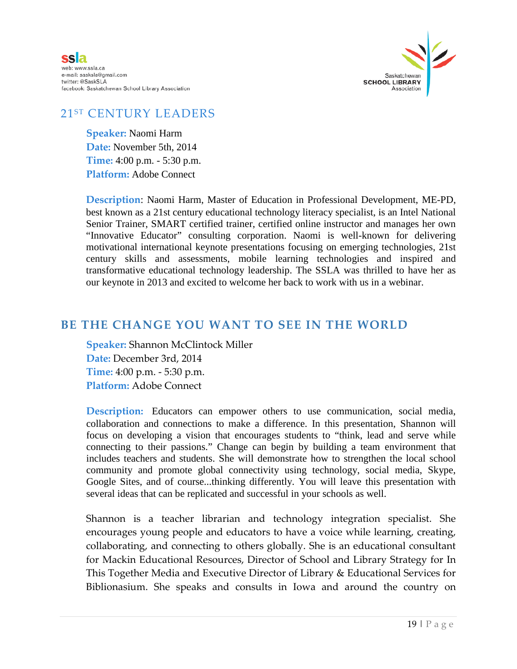



### 21ST CENTURY LEADERS

**Speaker:** Naomi Harm **Date:** November 5th, 2014 **Time:** 4:00 p.m. - 5:30 p.m. **Platform:** Adobe Connect

**Description**: Naomi Harm, Master of Education in Professional Development, ME-PD, best known as a 21st century educational technology literacy specialist, is an Intel National Senior Trainer, SMART certified trainer, certified online instructor and manages her own "Innovative Educator" consulting corporation. Naomi is well-known for delivering motivational international keynote presentations focusing on emerging technologies, 21st century skills and assessments, mobile learning technologies and inspired and transformative educational technology leadership. The SSLA was thrilled to have her as our keynote in 2013 and excited to welcome her back to work with us in a webinar.

### **BE THE CHANGE YOU WANT TO SEE IN THE WORLD**

**Speaker:** Shannon McClintock Miller **Date:** December 3rd, 2014 **Time:** 4:00 p.m. - 5:30 p.m. **Platform:** Adobe Connect

**Description:** Educators can empower others to use communication, social media, collaboration and connections to make a difference. In this presentation, Shannon will focus on developing a vision that encourages students to "think, lead and serve while connecting to their passions." Change can begin by building a team environment that includes teachers and students. She will demonstrate how to strengthen the local school community and promote global connectivity using technology, social media, Skype, Google Sites, and of course...thinking differently. You will leave this presentation with several ideas that can be replicated and successful in your schools as well.

Shannon is a teacher librarian and technology integration specialist. She encourages young people and educators to have a voice while learning, creating, collaborating, and connecting to others globally. She is an educational consultant for Mackin Educational Resources, Director of School and Library Strategy for In This Together Media and Executive Director of Library & Educational Services for Biblionasium. She speaks and consults in Iowa and around the country on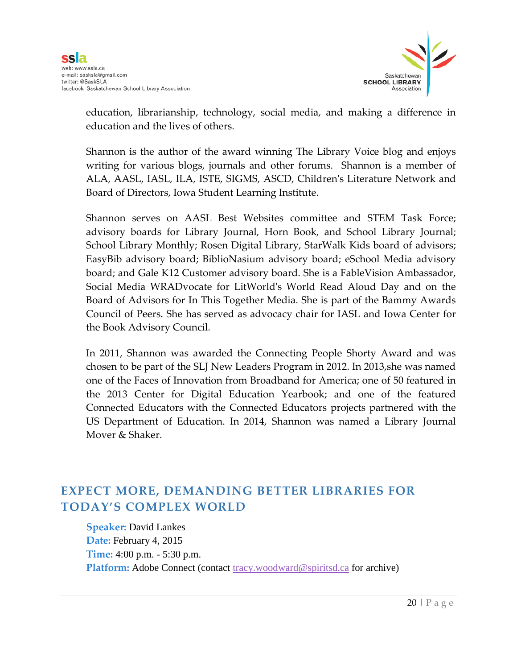

education, librarianship, technology, social media, and making a difference in education and the lives of others.

Shannon is the author of the award winning The Library Voice blog and enjoys writing for various blogs, journals and other forums. Shannon is a member of ALA, AASL, IASL, ILA, ISTE, SIGMS, ASCD, Children's Literature Network and Board of Directors, Iowa Student Learning Institute.

Shannon serves on AASL Best Websites committee and STEM Task Force; advisory boards for Library Journal, Horn Book, and School Library Journal; School Library Monthly; Rosen Digital Library, StarWalk Kids board of advisors; EasyBib advisory board; BiblioNasium advisory board; eSchool Media advisory board; and Gale K12 Customer advisory board. She is a FableVision Ambassador, Social Media WRADvocate for LitWorld's World Read Aloud Day and on the Board of Advisors for In This Together Media. She is part of the Bammy Awards Council of Peers. She has served as advocacy chair for IASL and Iowa Center for the Book Advisory Council.

In 2011, Shannon was awarded the Connecting People Shorty Award and was chosen to be part of the SLJ New Leaders Program in 2012. In 2013,she was named one of the Faces of Innovation from Broadband for America; one of 50 featured in the 2013 Center for Digital Education Yearbook; and one of the featured Connected Educators with the Connected Educators projects partnered with the US Department of Education. In 2014, Shannon was named a Library Journal Mover & Shaker.

### **EXPECT MORE, DEMANDING BETTER LIBRARIES FOR TODAY'S COMPLEX WORLD**

**Speaker:** David Lankes **Date:** February 4, 2015 **Time:** 4:00 p.m. - 5:30 p.m. **Platform:** Adobe Connect (contact [tracy.woodward@spiritsd.ca](mailto:tracy.woodward@spiritsd.ca) for archive)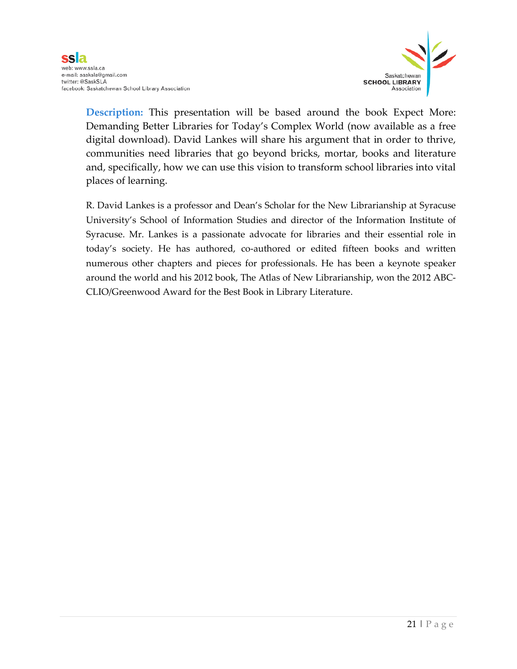

**Description:** This presentation will be based around the book Expect More: Demanding Better Libraries for Today's Complex World (now available as a free digital download). David Lankes will share his argument that in order to thrive, communities need libraries that go beyond bricks, mortar, books and literature and, specifically, how we can use this vision to transform school libraries into vital places of learning.

R. David Lankes is a professor and Dean's Scholar for the New Librarianship at Syracuse University's School of Information Studies and director of the Information Institute of Syracuse. Mr. Lankes is a passionate advocate for libraries and their essential role in today's society. He has authored, co-authored or edited fifteen books and written numerous other chapters and pieces for professionals. He has been a keynote speaker around the world and his 2012 book, The Atlas of New Librarianship, won the 2012 ABC-CLIO/Greenwood Award for the Best Book in Library Literature.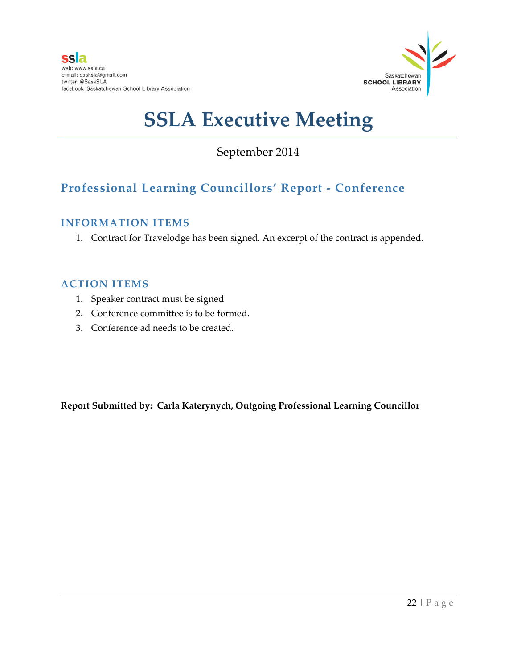

## September 2014

## **Professional Learning Councillors' Report - Conference**

### **INFORMATION ITEMS**

1. Contract for Travelodge has been signed. An excerpt of the contract is appended.

### **ACTION ITEMS**

- 1. Speaker contract must be signed
- 2. Conference committee is to be formed.
- 3. Conference ad needs to be created.

**Report Submitted by: Carla Katerynych, Outgoing Professional Learning Councillor**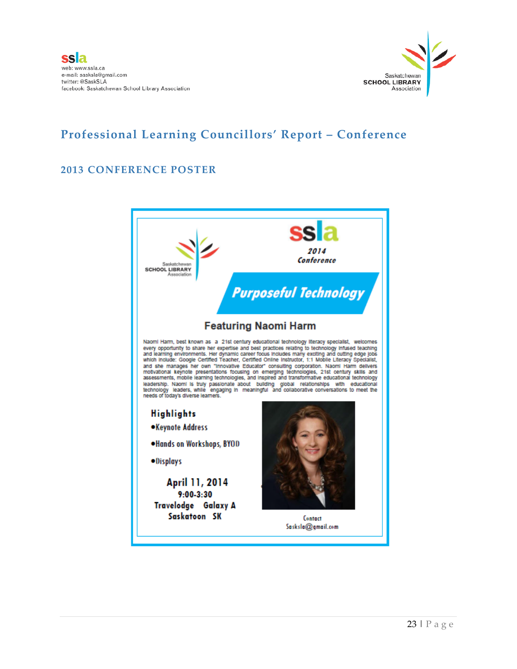

### **Professional Learning Councillors' Report – Conference**

### **2013 CONFERENCE POSTER**

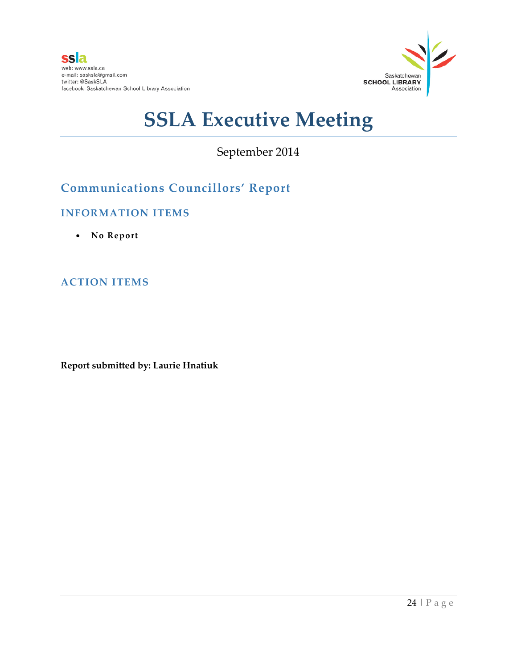

September 2014

## **Communications Councillors' Report**

### **INFORMATION ITEMS**

• **No Report**

### **ACTION ITEMS**

**Report submitted by: Laurie Hnatiuk**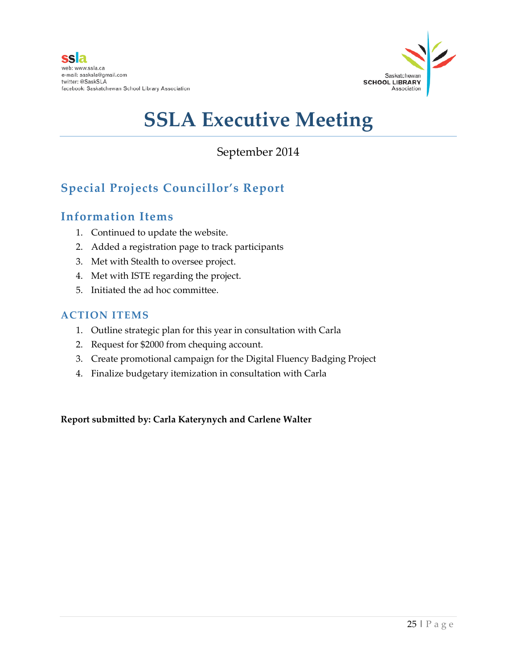

## September 2014

## **Special Projects Councillor's Report**

### **Information Items**

- 1. Continued to update the website.
- 2. Added a registration page to track participants
- 3. Met with Stealth to oversee project.
- 4. Met with ISTE regarding the project.
- 5. Initiated the ad hoc committee.

### **ACTION ITEMS**

- 1. Outline strategic plan for this year in consultation with Carla
- 2. Request for \$2000 from chequing account.
- 3. Create promotional campaign for the Digital Fluency Badging Project
- 4. Finalize budgetary itemization in consultation with Carla

**Report submitted by: Carla Katerynych and Carlene Walter**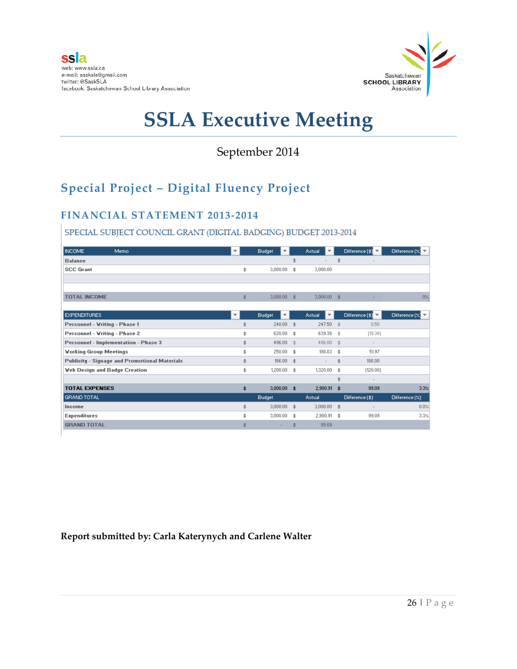

### September 2014

## **Special Project – Digital Fluency Project**

### **FINANCIAL STATEMENT 2013-2014**

#### SPECIAL SUBJECT COUNCIL GRANT (DIGITAL BADGING) BUDGET 2013-2014

| <b>INCOME</b>                 | Memo                                                 | $\overline{\phantom{a}}$ |    | <b>Budget</b><br>▼ |                        | Actual<br>$\overline{\phantom{a}}$        |                        | Difference $(\text{$\ast$})$ $\blacktriangledown$ | Difference $(X)$ |
|-------------------------------|------------------------------------------------------|--------------------------|----|--------------------|------------------------|-------------------------------------------|------------------------|---------------------------------------------------|------------------|
| <b>Balance</b>                |                                                      |                          |    |                    | \$                     | $\overline{\phantom{a}}$                  | \$                     |                                                   |                  |
| <b>SCC Grant</b>              |                                                      |                          | \$ | 3,000.00           | \$                     | 3,000.00                                  |                        |                                                   |                  |
|                               |                                                      |                          |    |                    |                        |                                           |                        |                                                   |                  |
|                               |                                                      |                          |    |                    |                        |                                           |                        |                                                   |                  |
| <b>TOTAL INCOME</b>           |                                                      |                          | \$ | $3,000,00$ \$      |                        | $3,000,00$ \$                             |                        |                                                   | 0%               |
|                               |                                                      |                          |    |                    |                        |                                           |                        |                                                   |                  |
| <b>EXPENDITURES</b>           |                                                      |                          |    | <b>Budget</b><br>▼ |                        | <b>Actual</b><br>$\overline{\phantom{a}}$ |                        | Difference $ \$$                                  | Difference $(X)$ |
| Personnel - Writing - Phase 1 |                                                      |                          | \$ | $248.00$ \$        |                        | 247.50 \$                                 |                        | 0.50                                              |                  |
| Personnel - Vriting - Phase 2 |                                                      |                          | \$ | 620.00             | 李                      | 639.38 \$                                 |                        | (19.38)                                           |                  |
|                               | <b>Personnel - Implementation - Phase 3</b>          |                          | \$ | 496.00             | $\ddot{x}$             | 496.00 \$                                 |                        | $\sim$                                            |                  |
| <b>Vorking Group Meetings</b> |                                                      |                          | \$ | 250.00             | 李                      | 198.03 \$                                 |                        | 51.97                                             |                  |
|                               | <b>Publicity - Signage and Promotional Materials</b> |                          | \$ | 186.00 \$          |                        | $\sim$                                    | \$                     | 186.00                                            |                  |
|                               | <b>Veb Design and Badge Creation</b>                 |                          | \$ | $1,200.00$ \$      |                        | 1,320.00                                  | $\ddot{\bm{x}}$        | [120.00]                                          |                  |
|                               |                                                      |                          |    |                    |                        |                                           | \$                     | $\overline{\phantom{a}}$                          |                  |
| <b>TOTAL EXPENSES</b>         |                                                      |                          | \$ | 3,000.00           | $\ddot{\ddot{\bm{x}}}$ | 2,900.91                                  | $\ddot{\ddot{\bm{x}}}$ | 99.09                                             | 3.3%             |
| GRAND TOTAL                   |                                                      |                          |    | <b>Budget</b>      |                        | <b>Actual</b>                             |                        | Difference (\$)                                   | Difference [X]   |
| Income                        |                                                      |                          | \$ | 3,000.00           | $\hat{x}$              | $3,000.00$ \$                             |                        | $\sim$                                            | 0.0%             |
| <b>Expenditures</b>           |                                                      |                          | \$ | 3,000.00           | \$                     | 2,900.91 \$                               |                        | 99.09                                             | 3.3%             |
| <b>GRAND TOTAL</b>            |                                                      |                          | 李  |                    | \$                     | 99.09                                     |                        |                                                   |                  |
|                               |                                                      |                          |    |                    |                        |                                           |                        |                                                   |                  |

### **Report submitted by: Carla Katerynych and Carlene Walter**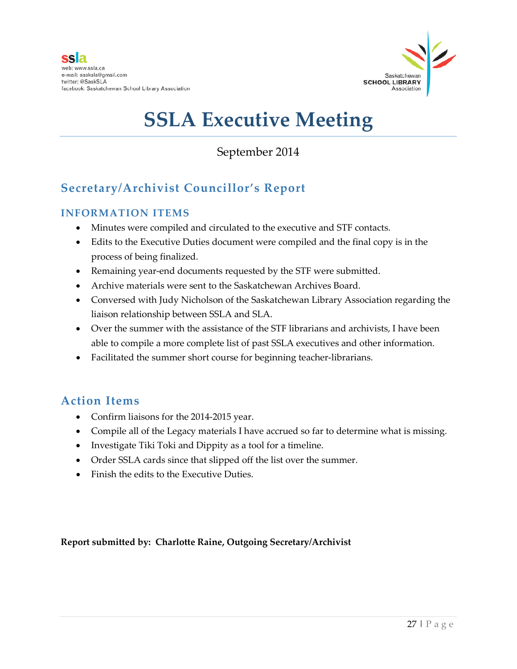

### September 2014

## **Secretary/Archivist Councillor's Report**

### **INFORMATION ITEMS**

- Minutes were compiled and circulated to the executive and STF contacts.
- Edits to the Executive Duties document were compiled and the final copy is in the process of being finalized.
- Remaining year-end documents requested by the STF were submitted.
- Archive materials were sent to the Saskatchewan Archives Board.
- Conversed with Judy Nicholson of the Saskatchewan Library Association regarding the liaison relationship between SSLA and SLA.
- Over the summer with the assistance of the STF librarians and archivists, I have been able to compile a more complete list of past SSLA executives and other information.
- Facilitated the summer short course for beginning teacher-librarians.

### **Action Items**

- Confirm liaisons for the 2014-2015 year.
- Compile all of the Legacy materials I have accrued so far to determine what is missing.
- Investigate Tiki Toki and Dippity as a tool for a timeline.
- Order SSLA cards since that slipped off the list over the summer.
- Finish the edits to the Executive Duties.

**Report submitted by: Charlotte Raine, Outgoing Secretary/Archivist**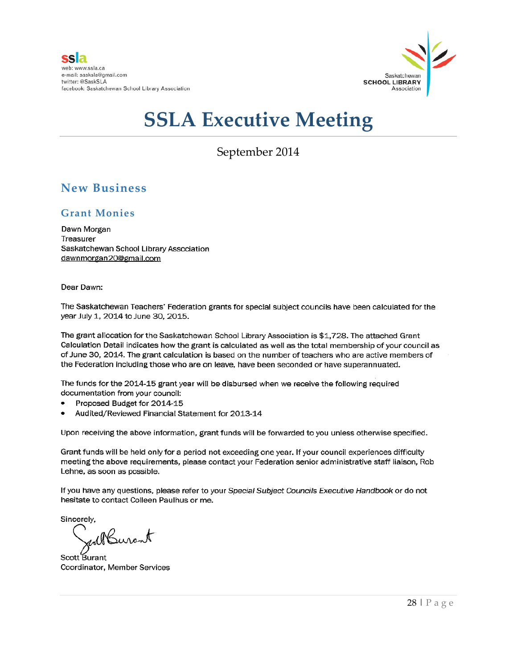

September 2014

### **New Business**

### **Grant Monies**

Dawn Morgan Treasurer Saskatchewan School Library Association dawnmorgan20@gmail.com

Dear Dawn:

The Saskatchewan Teachers' Federation grants for special subject councils have been calculated for the year July 1, 2014 to June 30, 2015.

The grant allocation for the Saskatchewan School Library Association is \$1,728. The attached Grant Calculation Detail indicates how the grant is calculated as well as the total membership of your council as of June 30, 2014. The grant calculation is based on the number of teachers who are active members of the Federation including those who are on leave, have been seconded or have superannuated.

The funds for the 2014-15 grant year will be disbursed when we receive the following required documentation from your council:

- Proposed Budget for 2014-15
- Audited/Reviewed Financial Statement for 2013-14

Upon receiving the above information, grant funds will be forwarded to you unless otherwise specified.

Grant funds will be held only for a period not exceeding one year. If your council experiences difficulty meeting the above requirements, please contact your Federation senior administrative staff liaison, Rob Lehne, as soon as possible.

If you have any questions, please refer to your Special Subject Councils Executive Handbook or do not hesitate to contact Colleen Paulhus or me.

Sincerely,

Burant

Scott Burant Coordinator, Member Services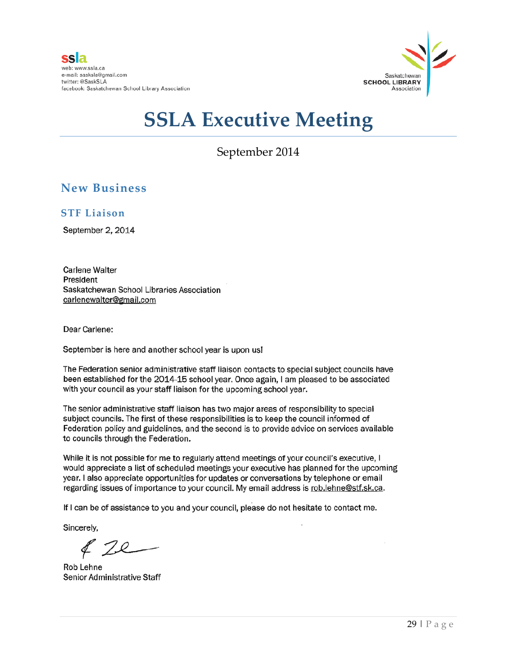

September 2014

### **New Business**

**STF Liaison**

September 2, 2014

Carlene Walter President Saskatchewan School Libraries Association carlenewalter@gmail.com

Dear Carlene:

September is here and another school year is upon us!

The Federation senior administrative staff liaison contacts to special subject councils have been established for the 2014-15 school year. Once again, I am pleased to be associated with your council as your staff liaison for the upcoming school year.

The senior administrative staff liaison has two major areas of responsibility to special subject councils. The first of these responsibilities is to keep the council informed of Federation policy and guidelines, and the second is to provide advice on services available to councils through the Federation.

While it is not possible for me to regularly attend meetings of your council's executive, I would appreciate a list of scheduled meetings your executive has planned for the upcoming year. I also appreciate opportunities for updates or conversations by telephone or email regarding issues of importance to your council. My email address is rob.lehne@stf.sk.ca.

If I can be of assistance to you and your council, please do not hesitate to contact me.

Sincerely,

Rob Lehne Senior Administrative Staff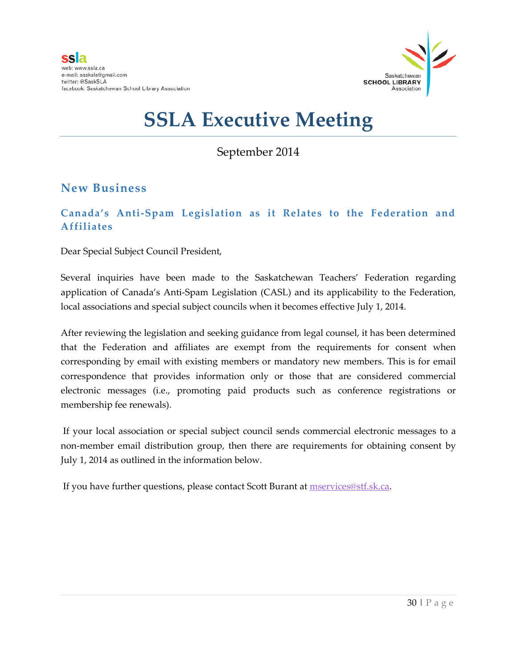

September 2014

### **New Business**

### **Canada's Anti-Spam Legislation as it Relates to the Federation and Affiliates**

Dear Special Subject Council President,

Several inquiries have been made to the Saskatchewan Teachers' Federation regarding application of Canada's Anti-Spam Legislation (CASL) and its applicability to the Federation, local associations and special subject councils when it becomes effective July 1, 2014.

After reviewing the legislation and seeking guidance from legal counsel, it has been determined that the Federation and affiliates are exempt from the requirements for consent when corresponding by email with existing members or mandatory new members. This is for email correspondence that provides information only or those that are considered commercial electronic messages (i.e., promoting paid products such as conference registrations or membership fee renewals).

If your local association or special subject council sends commercial electronic messages to a non-member email distribution group, then there are requirements for obtaining consent by July 1, 2014 as outlined in the information below.

If you have further questions, please contact Scott Burant at [mservices@stf.sk.ca.](mailto:mservices@stf.sk.ca)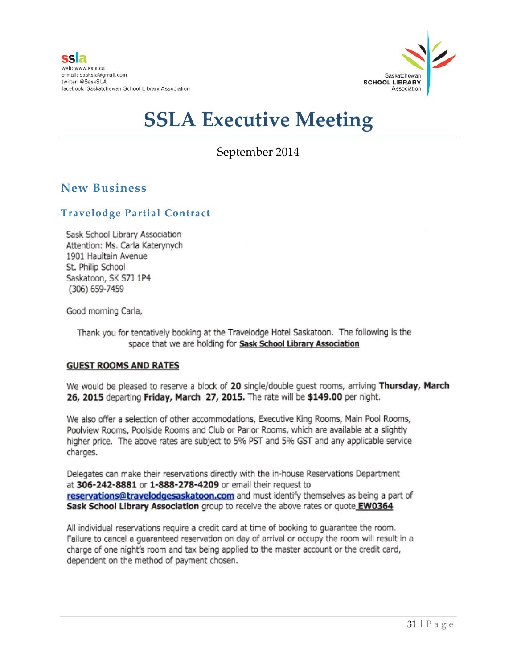

### September 2014

### **New Business**

### **Travelodge Partial Contract**

Sask School Library Association Attention: Ms. Carla Katerynych 1901 Haultain Avenue St. Philip School Saskatoon, SK S7J 1P4 (306) 659-7459

Good morning Carla,

Thank you for tentatively booking at the Travelodge Hotel Saskatoon. The following is the space that we are holding for Sask School Library Association

### **GUEST ROOMS AND RATES**

We would be pleased to reserve a block of 20 single/double guest rooms, arriving Thursday, March 26, 2015 departing Friday, March 27, 2015. The rate will be \$149.00 per night.

We also offer a selection of other accommodations, Executive King Rooms, Main Pool Rooms, Poolview Rooms, Poolside Rooms and Club or Parlor Rooms, which are available at a slightly higher price. The above rates are subject to 5% PST and 5% GST and any applicable service charges.

Delegates can make their reservations directly with the in-house Reservations Department at 306-242-8881 or 1-888-278-4209 or email their request to reservations@travelodgesaskatoon.com and must identify themselves as being a part of Sask School Library Association group to receive the above rates or quote EW0364

All individual reservations require a credit card at time of booking to guarantee the room. Failure to cancel a guaranteed reservation on day of arrival or occupy the room will result in a charge of one night's room and tax being applied to the master account or the credit card, dependent on the method of payment chosen.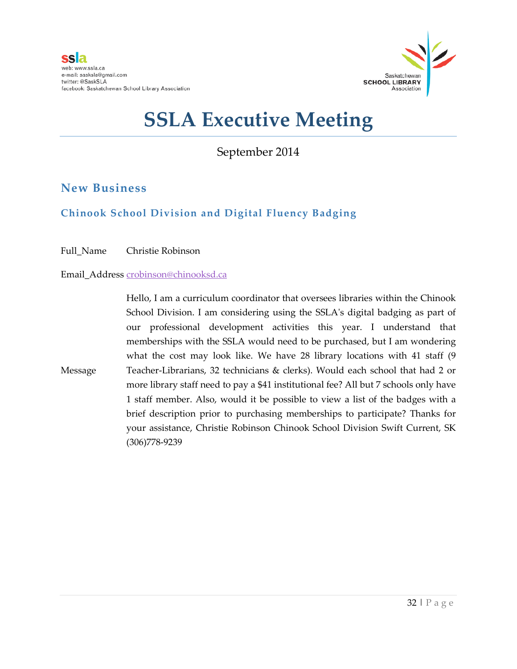

September 2014

### **New Business**

### **Chinook School Division and Digital Fluency Badging**

Full\_Name Christie Robinson

Email\_Address [crobinson@chinooksd.ca](mailto:crobinson@chinooksd.ca)

Message Hello, I am a curriculum coordinator that oversees libraries within the Chinook School Division. I am considering using the SSLA's digital badging as part of our professional development activities this year. I understand that memberships with the SSLA would need to be purchased, but I am wondering what the cost may look like. We have 28 library locations with 41 staff (9 Teacher-Librarians, 32 technicians & clerks). Would each school that had 2 or more library staff need to pay a \$41 institutional fee? All but 7 schools only have 1 staff member. Also, would it be possible to view a list of the badges with a brief description prior to purchasing memberships to participate? Thanks for your assistance, Christie Robinson Chinook School Division Swift Current, SK (306)778-9239